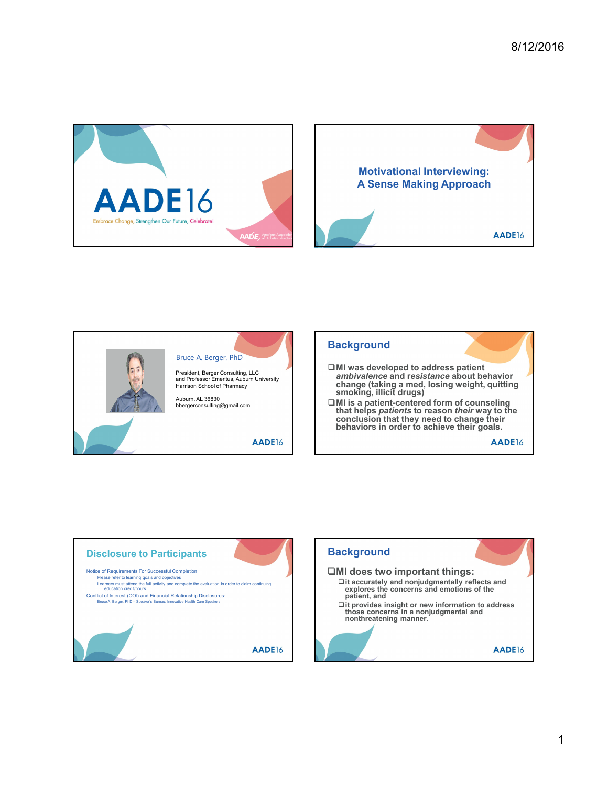







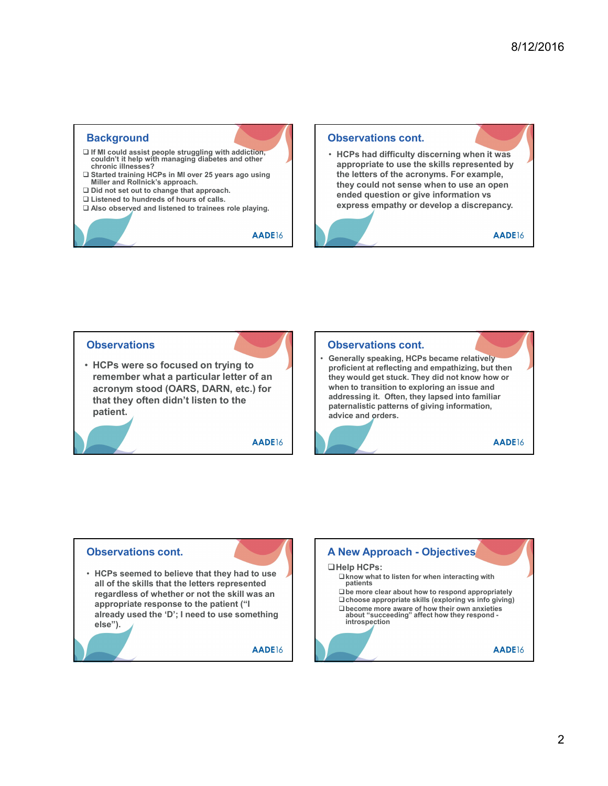AADE16

## **Background**

- □ If MI could assist people struggling with addiction, couldn't it help with managing diabetes and other couldn't it help with managing diabetes and other chronic illnesses?
- □ Started training HCPs in MI over 25 years ago using Miller and Rollnick's approach.
- $\square$  Did not set out to change that approach.
- Listened to hundreds of hours of calls.
- Also observed and listened to trainees role playing.

AADE16

# Observations cont.

• HCPs had difficulty discerning when it was appropriate to use the skills represented by the letters of the acronyms. For example, they could not sense when to use an open ended question or give information vs express empathy or develop a discrepancy.



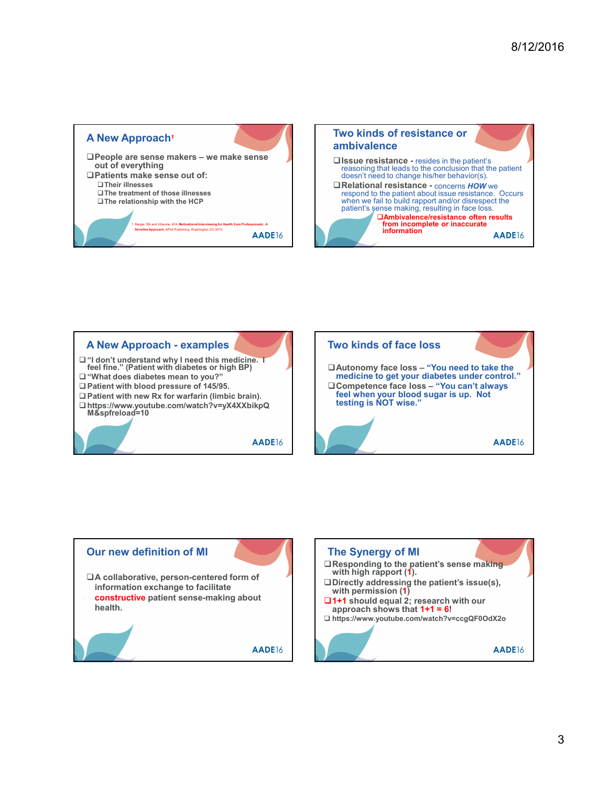









AADE16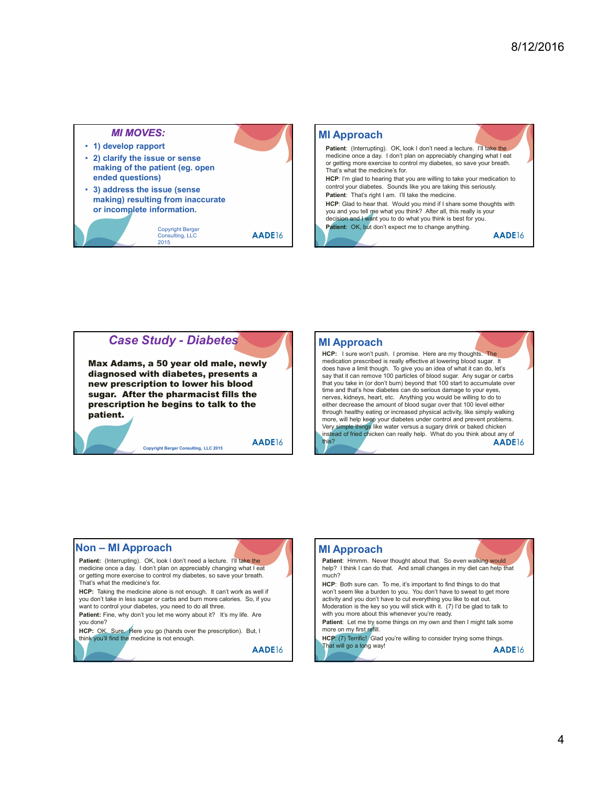



Patient: (Interrupting). OK, look I don't need a lecture. I'll take the medicine once a day. I don't plan on appreciably changing what I eat or getting more exercise to control my diabetes, so save your breath. The much? That's what the medicine's for.

HCP: Taking the medicine alone is not enough. It can't work as well if you don't take in less sugar or carbs and burn more calories. So, if you want to control your diabetes, you need to do all three.

Patient: Fine, why don't you let me worry about it? It's my life. Are you done?

**HCP:** OK. Sure. Here you go (hands over the prescription). But, I and the more on m<br>think you'll find the medicine is not enough.

AADE16



Patient: Hmmm. Never thought about that. So even walking would help? I think I can do that. And small changes in my diet can help that much? The contract of the contract of the contract of the contract of the contract of the contract of the contract of the contract of the contract of the contract of the contract of the contract of the contract of the cont

HCP: Both sure can. To me, it's important to find things to do that won't seem like a burden to you. You don't have to sweat to get more activity and you don't have to cut everything you like to eat out. Moderation is the key so you will stick with it. (7) I'd be glad to talk to with you more about this whenever you're ready.

Patient: Let me try some things on my own and then I might talk some more on my first refill.

HCP: (7) Terrific! Glad you're willing to consider trying some things. That will go a long way! AADE16